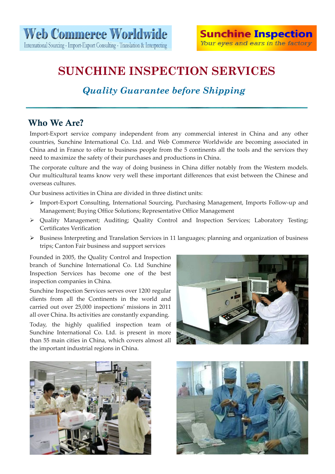## *Quality Guarantee before Shipping*

### Who We Are?

Import‐Export service company independent from any commercial interest in China and any other countries, Sunchine International Co. Ltd. and Web Commerce Worldwide are becoming associated in China and in France to offer to business people from the 5 continents all the tools and the services they need to maximize the safety of their purchases and productions in China.

The corporate culture and the way of doing business in China differ notably from the Western models. Our multicultural teams know very well these important differences that exist between the Chinese and overseas cultures.

Our business activities in China are divided in three distinct units:

- ¾ Import‐Export Consulting, International Sourcing, Purchasing Management, Imports Follow‐up and Management; Buying Office Solutions; Representative Office Management
- ¾ Quality Management; Auditing; Quality Control and Inspection Services; Laboratory Testing; Certificates Verification
- ¾ Business Interpreting and Translation Services in 11 languages; planning and organization of business trips; Canton Fair business and support services

Founded in 2005, the Quality Control and Inspection branch of Sunchine International Co. Ltd Sunchine Inspection Services has become one of the best inspection companies in China.

Sunchine Inspection Services serves over 1200 regular clients from all the Continents in the world and carried out over 25,000 inspections' missions in 2011 all over China. Its activities are constantly expanding.

Today, the highly qualified inspection team of Sunchine International Co. Ltd. is present in more than 55 main cities in China, which covers almost all the important industrial regions in China.





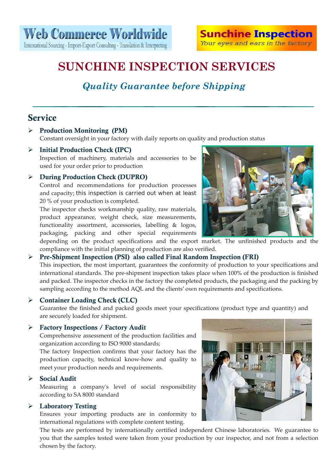## *Quality Guarantee before Shipping*

### Service

#### ¾ Production Monitoring (PM)

Constant oversight in your factory with daily reports on quality and production status

#### $\triangleright$  Initial Production Check (IPC)

Inspection of machinery, materials and accessories to be used for your order prior to production

#### ¾ During Production Check (DUPRO)

Control and recommendations for production processes and capacity; this inspection is carried out when at least 20 % of your production is completed.

The inspector checks workmanship quality, raw materials, product appearance, weight check, size measurements, functionality assortment, accessories, labelling & logos, packaging, packing and other special requirements

depending on the product specifications and the export market. The unfinished products and the compliance with the initial planning of production are also verified.

#### ¾ Pre-Shipment Inspection (PSI) also called Final Random Inspection (FRI)

This inspection, the most important, guarantees the conformity of production to your specifications and international standards. The pre‐shipment inspection takes place when 100% of the production is finished and packed. The inspector checks in the factory the completed products, the packaging and the packing by sampling according to the method AQL and the clients' own requirements and specifications.

#### ¾ Container Loading Check (CLC)

Guarantee the finished and packed goods meet your specifications (product type and quantity) and are securely loaded for shipment.

#### ¾ Factory Inspections / Factory Audit

Comprehensive assessment of the production facilities and organization according to ISO 9000 standards;

The factory Inspection confirms that your factory has the production capacity, technical know‐how and quality to meet your production needs and requirements.

#### $\triangleright$  Social Audit

Measuring a companyʹs level of social responsibility according to SA 8000 standard

#### ¾ Laboratory Testing

Ensures your importing products are in conformity to international regulations with complete content testing.

The tests are performed by internationally certified independent Chinese laboratories. We guarantee to you that the samples tested were taken from your production by our inspector, and not from a selection chosen by the factory.



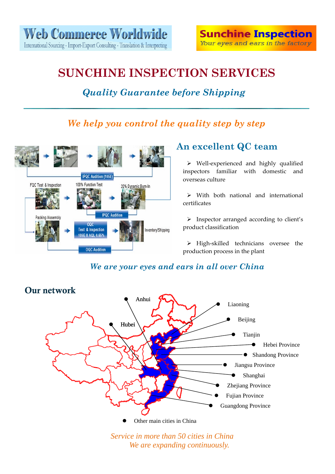### *Quality Guarantee before Shipping*

### *We help you control the quality step by step*



### **An excellent QC team**

¾ Well‐experienced and highly qualified inspectors familiar with domestic and overseas culture

 $\triangleright$  With both national and international certificates

¾ Inspector arranged according to client's product classification

¾ High‐skilled technicians oversee the production process in the plant

### *We are your eyes and ears in all over China*



*Service in more than 50 cities in China We are expanding continuously.*